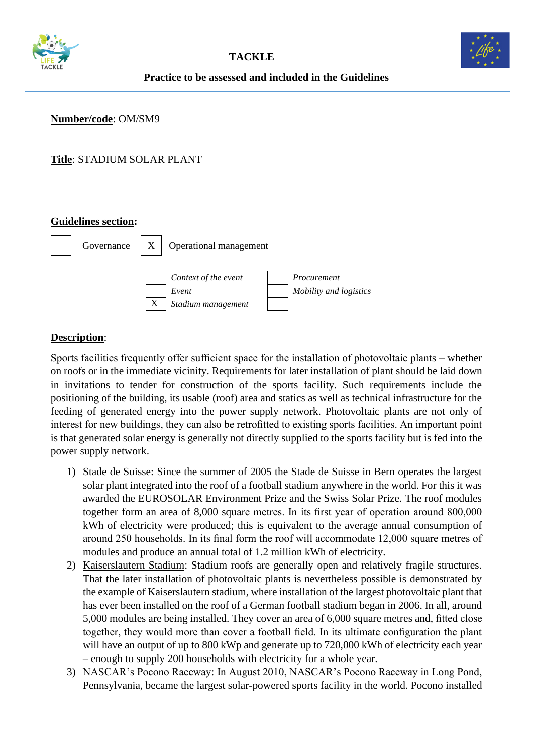



## **Practice to be assessed and included in the Guidelines**

**Number/code**: OM/SM9

**Title**: STADIUM SOLAR PLANT

#### **Guidelines section:**



# **Description**:

Sports facilities frequently offer sufficient space for the installation of photovoltaic plants – whether on roofs or in the immediate vicinity. Requirements for later installation of plant should be laid down in invitations to tender for construction of the sports facility. Such requirements include the positioning of the building, its usable (roof) area and statics as well as technical infrastructure for the feeding of generated energy into the power supply network. Photovoltaic plants are not only of interest for new buildings, they can also be retrofitted to existing sports facilities. An important point is that generated solar energy is generally not directly supplied to the sports facility but is fed into the power supply network.

- 1) Stade de Suisse: Since the summer of 2005 the Stade de Suisse in Bern operates the largest solar plant integrated into the roof of a football stadium anywhere in the world. For this it was awarded the EUROSOLAR Environment Prize and the Swiss Solar Prize. The roof modules together form an area of 8,000 square metres. In its first year of operation around 800,000 kWh of electricity were produced; this is equivalent to the average annual consumption of around 250 households. In its final form the roof will accommodate 12,000 square metres of modules and produce an annual total of 1.2 million kWh of electricity.
- 2) Kaiserslautern Stadium: Stadium roofs are generally open and relatively fragile structures. That the later installation of photovoltaic plants is nevertheless possible is demonstrated by the example of Kaiserslautern stadium, where installation of the largest photovoltaic plant that has ever been installed on the roof of a German football stadium began in 2006. In all, around 5,000 modules are being installed. They cover an area of 6,000 square metres and, fitted close together, they would more than cover a football field. In its ultimate configuration the plant will have an output of up to 800 kWp and generate up to 720,000 kWh of electricity each year – enough to supply 200 households with electricity for a whole year.
- 3) NASCAR's Pocono Raceway: In August 2010, NASCAR's Pocono Raceway in Long Pond, Pennsylvania, became the largest solar-powered sports facility in the world. Pocono installed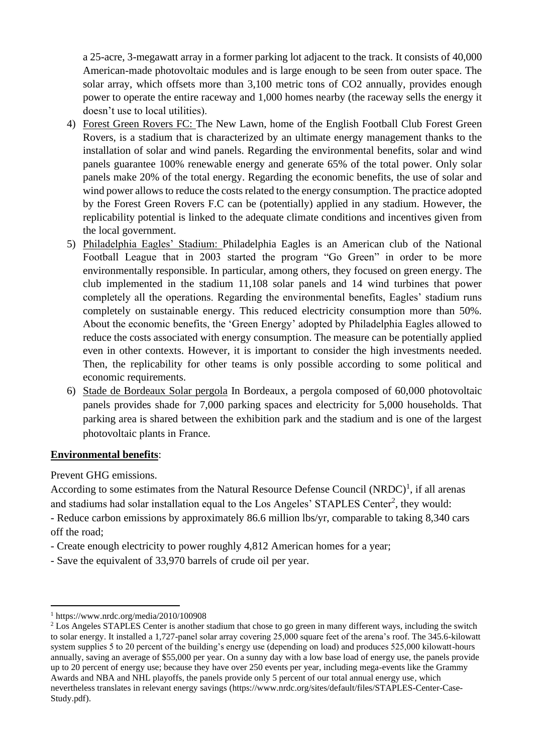a 25-acre, 3-megawatt array in a former parking lot adjacent to the track. It consists of 40,000 American-made photovoltaic modules and is large enough to be seen from outer space. The solar array, which offsets more than 3,100 metric tons of CO2 annually, provides enough power to operate the entire raceway and 1,000 homes nearby (the raceway sells the energy it doesn't use to local utilities).

- 4) Forest Green Rovers FC: The New Lawn, home of the English Football Club Forest Green Rovers, is a stadium that is characterized by an ultimate energy management thanks to the installation of solar and wind panels. Regarding the environmental benefits, solar and wind panels guarantee 100% renewable energy and generate 65% of the total power. Only solar panels make 20% of the total energy. Regarding the economic benefits, the use of solar and wind power allows to reduce the costs related to the energy consumption. The practice adopted by the Forest Green Rovers F.C can be (potentially) applied in any stadium. However, the replicability potential is linked to the adequate climate conditions and incentives given from the local government.
- 5) Philadelphia Eagles' Stadium: Philadelphia Eagles is an American club of the National Football League that in 2003 started the program "Go Green" in order to be more environmentally responsible. In particular, among others, they focused on green energy. The club implemented in the stadium 11,108 solar panels and 14 wind turbines that power completely all the operations. Regarding the environmental benefits, Eagles' stadium runs completely on sustainable energy. This reduced electricity consumption more than 50%. About the economic benefits, the 'Green Energy' adopted by Philadelphia Eagles allowed to reduce the costs associated with energy consumption. The measure can be potentially applied even in other contexts. However, it is important to consider the high investments needed. Then, the replicability for other teams is only possible according to some political and economic requirements.
- 6) Stade de Bordeaux Solar pergola In Bordeaux, a pergola composed of 60,000 photovoltaic panels provides shade for 7,000 parking spaces and electricity for 5,000 households. That parking area is shared between the exhibition park and the stadium and is one of the largest photovoltaic plants in France.

#### **Environmental benefits**:

Prevent GHG emissions.

According to some estimates from the Natural Resource Defense Council  $(NRDC)^1$ , if all arenas and stadiums had solar installation equal to the Los Angeles' STAPLES Center<sup>2</sup>, they would:

- Reduce carbon emissions by approximately 86.6 million lbs/yr, comparable to taking 8,340 cars off the road;

- Create enough electricity to power roughly 4,812 American homes for a year;
- Save the equivalent of 33,970 barrels of crude oil per year.

<sup>1</sup> https://www.nrdc.org/media/2010/100908

<sup>&</sup>lt;sup>2</sup> Los Angeles STAPLES Center is another stadium that chose to go green in many different ways, including the switch to solar energy. It installed a 1,727-panel solar array covering 25,000 square feet of the arena's roof. The 345.6-kilowatt system supplies 5 to 20 percent of the building's energy use (depending on load) and produces 525,000 kilowatt-hours annually, saving an average of \$55,000 per year. On a sunny day with a low base load of energy use, the panels provide up to 20 percent of energy use; because they have over 250 events per year, including mega-events like the Grammy Awards and NBA and NHL playoffs, the panels provide only 5 percent of our total annual energy use, which nevertheless translates in relevant energy savings (https://www.nrdc.org/sites/default/files/STAPLES-Center-Case-Study.pdf).